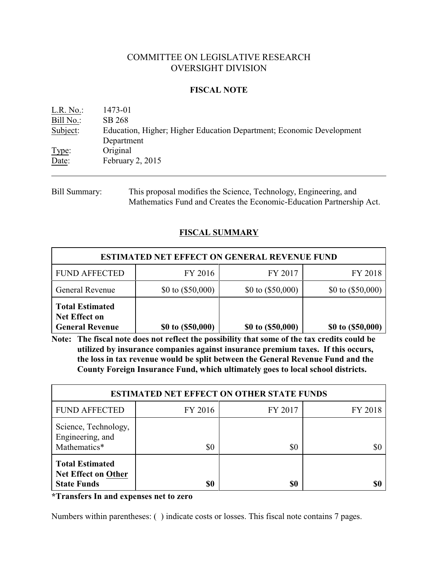# COMMITTEE ON LEGISLATIVE RESEARCH OVERSIGHT DIVISION

### **FISCAL NOTE**

| $L.R. No.$ : | 1473-01                                                              |
|--------------|----------------------------------------------------------------------|
| Bill No.:    | SB 268                                                               |
| Subject:     | Education, Higher; Higher Education Department; Economic Development |
|              | Department                                                           |
| Type:        | Original                                                             |
| Date:        | February 2, 2015                                                     |
|              |                                                                      |

Bill Summary: This proposal modifies the Science, Technology, Engineering, and Mathematics Fund and Creates the Economic-Education Partnership Act.

## **FISCAL SUMMARY**

| <b>ESTIMATED NET EFFECT ON GENERAL REVENUE FUND</b>                      |                     |                     |                     |  |  |
|--------------------------------------------------------------------------|---------------------|---------------------|---------------------|--|--|
| <b>FUND AFFECTED</b>                                                     | FY 2016             | FY 2017             | FY 2018             |  |  |
| General Revenue                                                          | \$0 to $(\$50,000)$ | \$0 to $(\$50,000)$ | \$0 to $(\$50,000)$ |  |  |
| <b>Total Estimated</b><br><b>Net Effect on</b><br><b>General Revenue</b> | \$0 to (\$50,000)   | \$0 to (\$50,000)   | \$0 to (\$50,000)   |  |  |

**Note: The fiscal note does not reflect the possibility that some of the tax credits could be utilized by insurance companies against insurance premium taxes. If this occurs, the loss in tax revenue would be split between the General Revenue Fund and the County Foreign Insurance Fund, which ultimately goes to local school districts.**

| <b>ESTIMATED NET EFFECT ON OTHER STATE FUNDS</b>                           |         |         |         |  |
|----------------------------------------------------------------------------|---------|---------|---------|--|
| <b>FUND AFFECTED</b>                                                       | FY 2016 | FY 2017 | FY 2018 |  |
| Science, Technology,<br>Engineering, and<br>Mathematics*                   | \$0     | \$0     | \$0     |  |
| <b>Total Estimated</b><br><b>Net Effect on Other</b><br><b>State Funds</b> | \$0     | \$0     | \$6     |  |

**\*Transfers In and expenses net to zero**

Numbers within parentheses: ( ) indicate costs or losses. This fiscal note contains 7 pages.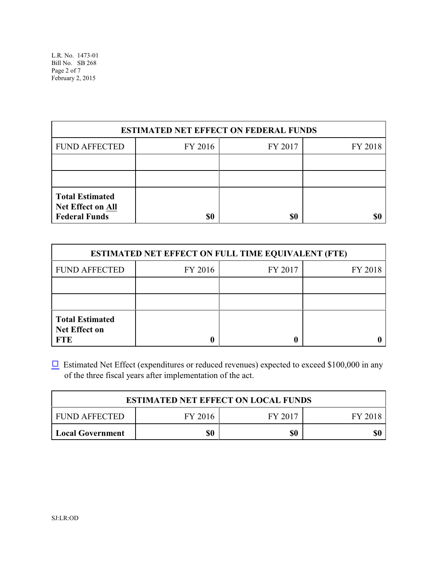L.R. No. 1473-01 Bill No. SB 268 Page 2 of 7 February 2, 2015

| <b>ESTIMATED NET EFFECT ON FEDERAL FUNDS</b>                               |         |         |         |  |
|----------------------------------------------------------------------------|---------|---------|---------|--|
| <b>FUND AFFECTED</b>                                                       | FY 2016 | FY 2017 | FY 2018 |  |
|                                                                            |         |         |         |  |
|                                                                            |         |         |         |  |
| <b>Total Estimated</b><br><b>Net Effect on All</b><br><b>Federal Funds</b> | \$0     | \$0     |         |  |

| <b>ESTIMATED NET EFFECT ON FULL TIME EQUIVALENT (FTE)</b>    |         |         |         |  |  |
|--------------------------------------------------------------|---------|---------|---------|--|--|
| <b>FUND AFFECTED</b>                                         | FY 2016 | FY 2017 | FY 2018 |  |  |
|                                                              |         |         |         |  |  |
|                                                              |         |         |         |  |  |
| <b>Total Estimated</b><br><b>Net Effect on</b><br><b>FTE</b> |         |         |         |  |  |

 $\Box$  Estimated Net Effect (expenditures or reduced revenues) expected to exceed \$100,000 in any of the three fiscal years after implementation of the act.

| <b>ESTIMATED NET EFFECT ON LOCAL FUNDS</b> |         |         |         |  |
|--------------------------------------------|---------|---------|---------|--|
| I FUND AFFECTED                            | FY 2016 | FY 2017 | FY 2018 |  |
| Local Government                           | \$0     | \$0     | \$0     |  |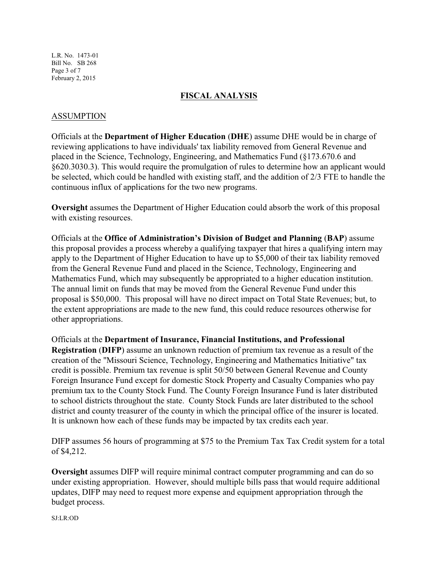L.R. No. 1473-01 Bill No. SB 268 Page 3 of 7 February 2, 2015

### **FISCAL ANALYSIS**

### ASSUMPTION

Officials at the **Department of Higher Education** (**DHE**) assume DHE would be in charge of reviewing applications to have individuals' tax liability removed from General Revenue and placed in the Science, Technology, Engineering, and Mathematics Fund (§173.670.6 and §620.3030.3). This would require the promulgation of rules to determine how an applicant would be selected, which could be handled with existing staff, and the addition of 2/3 FTE to handle the continuous influx of applications for the two new programs.

**Oversight** assumes the Department of Higher Education could absorb the work of this proposal with existing resources.

Officials at the **Office of Administration's Division of Budget and Planning** (**BAP**) assume this proposal provides a process whereby a qualifying taxpayer that hires a qualifying intern may apply to the Department of Higher Education to have up to \$5,000 of their tax liability removed from the General Revenue Fund and placed in the Science, Technology, Engineering and Mathematics Fund, which may subsequently be appropriated to a higher education institution. The annual limit on funds that may be moved from the General Revenue Fund under this proposal is \$50,000. This proposal will have no direct impact on Total State Revenues; but, to the extent appropriations are made to the new fund, this could reduce resources otherwise for other appropriations.

Officials at the **Department of Insurance, Financial Institutions, and Professional Registration** (**DIFP**) assume an unknown reduction of premium tax revenue as a result of the creation of the "Missouri Science, Technology, Engineering and Mathematics Initiative" tax credit is possible. Premium tax revenue is split 50/50 between General Revenue and County Foreign Insurance Fund except for domestic Stock Property and Casualty Companies who pay premium tax to the County Stock Fund. The County Foreign Insurance Fund is later distributed to school districts throughout the state. County Stock Funds are later distributed to the school district and county treasurer of the county in which the principal office of the insurer is located. It is unknown how each of these funds may be impacted by tax credits each year.

DIFP assumes 56 hours of programming at \$75 to the Premium Tax Tax Credit system for a total of \$4,212.

**Oversight** assumes DIFP will require minimal contract computer programming and can do so under existing appropriation. However, should multiple bills pass that would require additional updates, DIFP may need to request more expense and equipment appropriation through the budget process.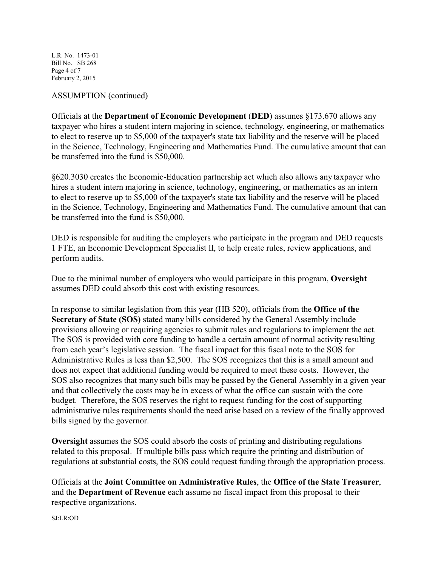L.R. No. 1473-01 Bill No. SB 268 Page 4 of 7 February 2, 2015

### ASSUMPTION (continued)

Officials at the **Department of Economic Development** (**DED**) assumes §173.670 allows any taxpayer who hires a student intern majoring in science, technology, engineering, or mathematics to elect to reserve up to \$5,000 of the taxpayer's state tax liability and the reserve will be placed in the Science, Technology, Engineering and Mathematics Fund. The cumulative amount that can be transferred into the fund is \$50,000.

§620.3030 creates the Economic-Education partnership act which also allows any taxpayer who hires a student intern majoring in science, technology, engineering, or mathematics as an intern to elect to reserve up to \$5,000 of the taxpayer's state tax liability and the reserve will be placed in the Science, Technology, Engineering and Mathematics Fund. The cumulative amount that can be transferred into the fund is \$50,000.

DED is responsible for auditing the employers who participate in the program and DED requests 1 FTE, an Economic Development Specialist II, to help create rules, review applications, and perform audits.

Due to the minimal number of employers who would participate in this program, **Oversight** assumes DED could absorb this cost with existing resources.

In response to similar legislation from this year (HB 520), officials from the **Office of the Secretary of State (SOS)** stated many bills considered by the General Assembly include provisions allowing or requiring agencies to submit rules and regulations to implement the act. The SOS is provided with core funding to handle a certain amount of normal activity resulting from each year's legislative session. The fiscal impact for this fiscal note to the SOS for Administrative Rules is less than \$2,500. The SOS recognizes that this is a small amount and does not expect that additional funding would be required to meet these costs. However, the SOS also recognizes that many such bills may be passed by the General Assembly in a given year and that collectively the costs may be in excess of what the office can sustain with the core budget. Therefore, the SOS reserves the right to request funding for the cost of supporting administrative rules requirements should the need arise based on a review of the finally approved bills signed by the governor.

**Oversight** assumes the SOS could absorb the costs of printing and distributing regulations related to this proposal. If multiple bills pass which require the printing and distribution of regulations at substantial costs, the SOS could request funding through the appropriation process.

Officials at the **Joint Committee on Administrative Rules**, the **Office of the State Treasurer**, and the **Department of Revenue** each assume no fiscal impact from this proposal to their respective organizations.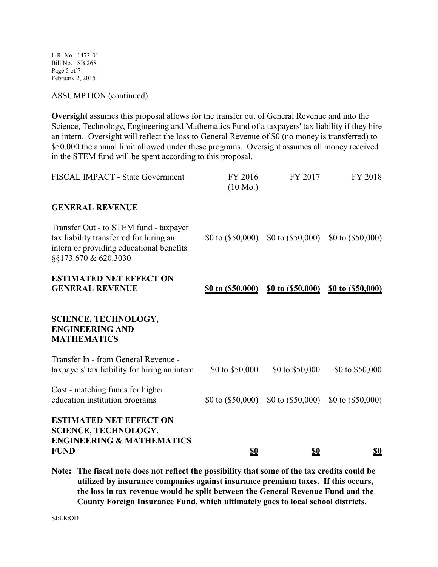L.R. No. 1473-01 Bill No. SB 268 Page 5 of 7 February 2, 2015

ASSUMPTION (continued)

**Oversight** assumes this proposal allows for the transfer out of General Revenue and into the Science, Technology, Engineering and Mathematics Fund of a taxpayers' tax liability if they hire an intern. Oversight will reflect the loss to General Revenue of \$0 (no money is transferred) to \$50,000 the annual limit allowed under these programs. Oversight assumes all money received in the STEM fund will be spent according to this proposal.

| <b>ESTIMATED NET EFFECT ON</b><br><b>SCIENCE, TECHNOLOGY,</b><br><b>ENGINEERING &amp; MATHEMATICS</b><br><b>FUND</b>                                  | <u>\$0</u>                    | <u>\$0</u>          | <u>\$0</u>          |
|-------------------------------------------------------------------------------------------------------------------------------------------------------|-------------------------------|---------------------|---------------------|
| Cost - matching funds for higher<br>education institution programs                                                                                    | $$0 \text{ to } ($50,000)$    | \$0 to $(\$50,000)$ | \$0 to $(\$50,000)$ |
| Transfer In - from General Revenue -<br>taxpayers' tax liability for hiring an intern                                                                 | \$0 to \$50,000               | \$0 to \$50,000     | \$0 to \$50,000     |
| <b>SCIENCE, TECHNOLOGY,</b><br><b>ENGINEERING AND</b><br><b>MATHEMATICS</b>                                                                           |                               |                     |                     |
| <b>ESTIMATED NET EFFECT ON</b><br><b>GENERAL REVENUE</b>                                                                                              | \$0 to (\$50,000)             | \$0 to (\$50,000)   | \$0 to (\$50,000)   |
| Transfer Out - to STEM fund - taxpayer<br>tax liability transferred for hiring an<br>intern or providing educational benefits<br>§§173.670 & 620.3030 | \$0 to $(\$50,000)$           | \$0 to $(\$50,000)$ | \$0 to $(\$50,000)$ |
| <b>GENERAL REVENUE</b>                                                                                                                                |                               |                     |                     |
| FISCAL IMPACT - State Government                                                                                                                      | FY 2016<br>$(10 \text{ Mo.})$ | FY 2017             | FY 2018             |

**Note: The fiscal note does not reflect the possibility that some of the tax credits could be utilized by insurance companies against insurance premium taxes. If this occurs, the loss in tax revenue would be split between the General Revenue Fund and the County Foreign Insurance Fund, which ultimately goes to local school districts.**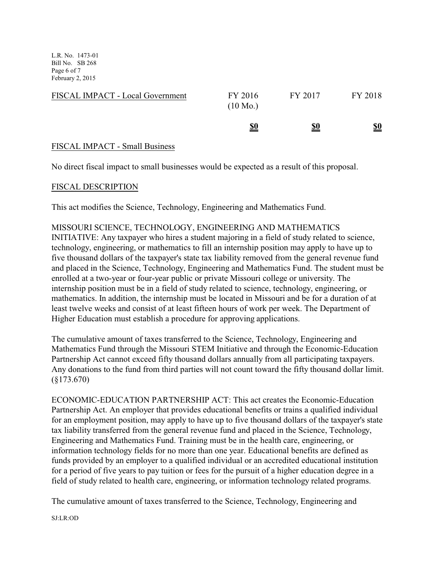L.R. No. 1473-01 Bill No. SB 268 Page 6 of 7 February 2, 2015

| FISCAL IMPACT - Local Government | FY 2016<br>$(10 \text{ Mo.})$ | FY 2017    | FY 2018    |
|----------------------------------|-------------------------------|------------|------------|
|                                  | <u>\$0</u>                    | <u>\$0</u> | <u>\$0</u> |

## FISCAL IMPACT - Small Business

No direct fiscal impact to small businesses would be expected as a result of this proposal.

### FISCAL DESCRIPTION

This act modifies the Science, Technology, Engineering and Mathematics Fund.

### MISSOURI SCIENCE, TECHNOLOGY, ENGINEERING AND MATHEMATICS

INITIATIVE: Any taxpayer who hires a student majoring in a field of study related to science, technology, engineering, or mathematics to fill an internship position may apply to have up to five thousand dollars of the taxpayer's state tax liability removed from the general revenue fund and placed in the Science, Technology, Engineering and Mathematics Fund. The student must be enrolled at a two-year or four-year public or private Missouri college or university. The internship position must be in a field of study related to science, technology, engineering, or mathematics. In addition, the internship must be located in Missouri and be for a duration of at least twelve weeks and consist of at least fifteen hours of work per week. The Department of Higher Education must establish a procedure for approving applications.

The cumulative amount of taxes transferred to the Science, Technology, Engineering and Mathematics Fund through the Missouri STEM Initiative and through the Economic-Education Partnership Act cannot exceed fifty thousand dollars annually from all participating taxpayers. Any donations to the fund from third parties will not count toward the fifty thousand dollar limit. (§173.670)

ECONOMIC-EDUCATION PARTNERSHIP ACT: This act creates the Economic-Education Partnership Act. An employer that provides educational benefits or trains a qualified individual for an employment position, may apply to have up to five thousand dollars of the taxpayer's state tax liability transferred from the general revenue fund and placed in the Science, Technology, Engineering and Mathematics Fund. Training must be in the health care, engineering, or information technology fields for no more than one year. Educational benefits are defined as funds provided by an employer to a qualified individual or an accredited educational institution for a period of five years to pay tuition or fees for the pursuit of a higher education degree in a field of study related to health care, engineering, or information technology related programs.

The cumulative amount of taxes transferred to the Science, Technology, Engineering and